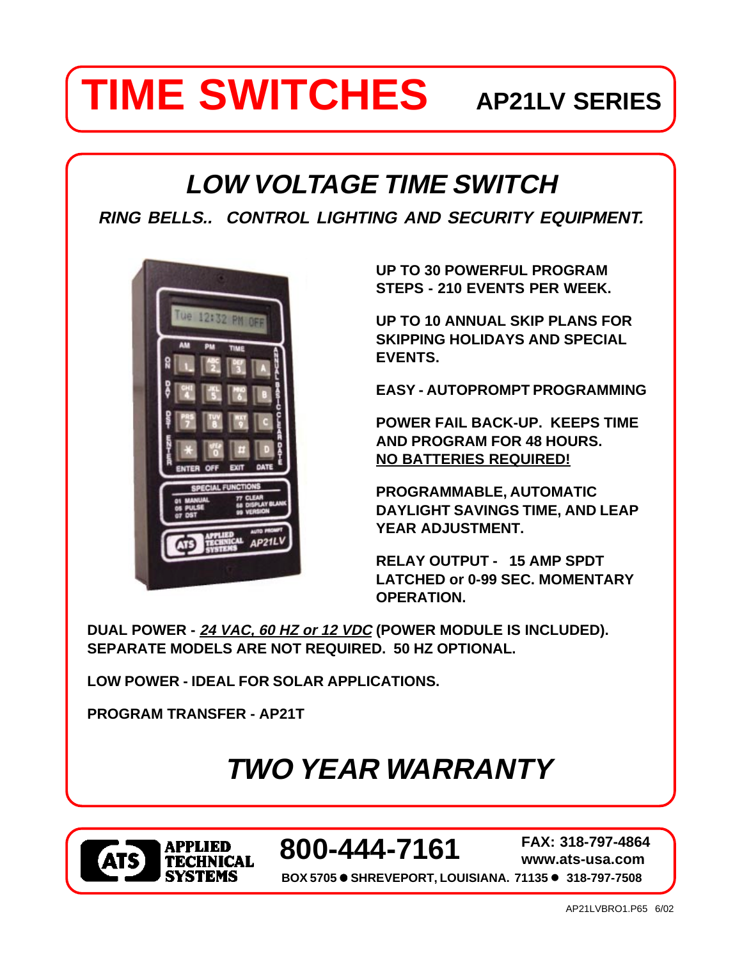# **TIME SWITCHES** AP21LV SERIES

# **LOW VOLTAGE TIME SWITCH**

**RING BELLS.. CONTROL LIGHTING AND SECURITY EQUIPMENT.**



**UP TO 30 POWERFUL PROGRAM STEPS - 210 EVENTS PER WEEK.**

**UP TO 10 ANNUAL SKIP PLANS FOR SKIPPING HOLIDAYS AND SPECIAL EVENTS.**

**EASY - AUTOPROMPT PROGRAMMING**

**POWER FAIL BACK-UP. KEEPS TIME AND PROGRAM FOR 48 HOURS. NO BATTERIES REQUIRED!**

**PROGRAMMABLE, AUTOMATIC DAYLIGHT SAVINGS TIME, AND LEAP YEAR ADJUSTMENT.**

**RELAY OUTPUT - 15 AMP SPDT LATCHED or 0-99 SEC. MOMENTARY OPERATION.**

**DUAL POWER - 24 VAC, 60 HZ or 12 VDC (POWER MODULE IS INCLUDED). SEPARATE MODELS ARE NOT REQUIRED. 50 HZ OPTIONAL.**

**LOW POWER - IDEAL FOR SOLAR APPLICATIONS.**

**PROGRAM TRANSFER - AP21T**

# **TWO YEAR WARRANTY**



 **800-444-7161 FAX: 318-797-4864**

**www.ats-usa.com**

**BOX 5705** ! **SHREVEPORT, LOUISIANA. 71135** ! **318-797-7508**